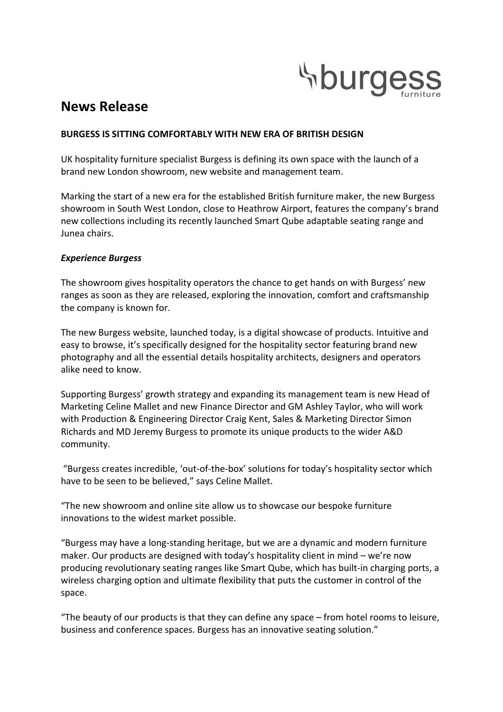

# **News Release**

## **BURGESS IS SITTING COMFORTABLY WITH NEW ERA OF BRITISH DESIGN**

UK hospitality furniture specialist Burgess is defining its own space with the launch of a brand new London showroom, new website and management team.

Marking the start of a new era for the established British furniture maker, the new Burgess showroom in South West London, close to Heathrow Airport, features the company's brand new collections including its recently launched Smart Qube adaptable seating range and Junea chairs.

## *Experience Burgess*

The showroom gives hospitality operators the chance to get hands on with Burgess' new ranges as soon as they are released, exploring the innovation, comfort and craftsmanship the company is known for.

The new Burgess website, launched today, is a digital showcase of products. Intuitive and easy to browse, it's specifically designed for the hospitality sector featuring brand new photography and all the essential details hospitality architects, designers and operators alike need to know.

Supporting Burgess' growth strategy and expanding its management team is new Head of Marketing Celine Mallet and new Finance Director and GM Ashley Taylor, who will work with Production & Engineering Director Craig Kent, Sales & Marketing Director Simon Richards and MD Jeremy Burgess to promote its unique products to the wider A&D community.

"Burgess creates incredible, 'out-of-the-box' solutions for today's hospitality sector which have to be seen to be believed," says Celine Mallet.

"The new showroom and online site allow us to showcase our bespoke furniture innovations to the widest market possible.

"Burgess may have a long-standing heritage, but we are a dynamic and modern furniture maker. Our products are designed with today's hospitality client in mind – we're now producing revolutionary seating ranges like Smart Qube, which has built-in charging ports, a wireless charging option and ultimate flexibility that puts the customer in control of the space.

"The beauty of our products is that they can define any space  $-$  from hotel rooms to leisure, business and conference spaces. Burgess has an innovative seating solution."